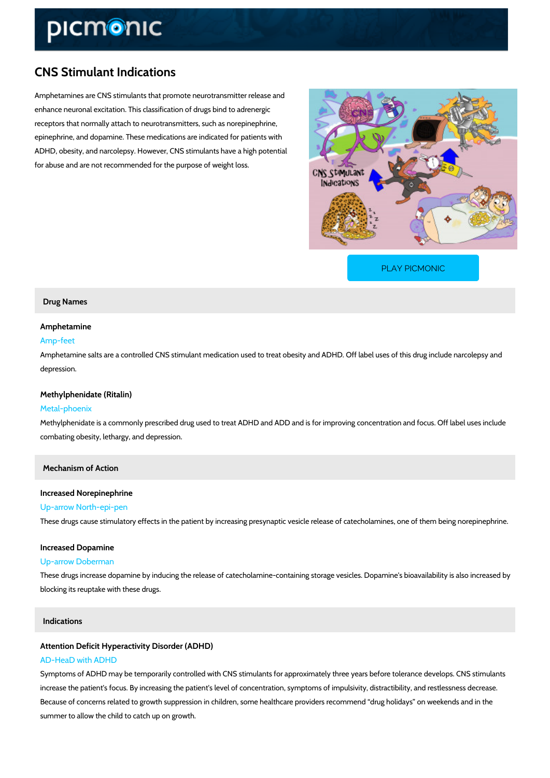# CNS Stimulant Indications

Amphetamines are CNS stimulants that promote neurotransmitter release and enhance neuronal excitation. This classification of drugs bind to adrenergic receptors that normally attach to neurotransmitters, such as norepinephrine, epinephrine, and dopamine. These medications are indicated for patients with ADHD, obesity, and narcolepsy. However, CNS stimulants have a high potential for abuse and are not recommended for the purpose of weight loss.

[PLAY PICMONIC](https://www.picmonic.com/learn/cns-stimulant-indications_2073?utm_source=downloadable_content&utm_medium=distributedcontent&utm_campaign=pathways_pdf&utm_content=CNS Stimulant Indications&utm_ad_group=leads&utm_market=all)

### Drug Names

### Amphetamine

#### Amp-feet

Amphetamine salts are a controlled CNS stimulant medication used to treat obesity and ADHD depression.

#### Methylphenidate (Ritalin)

#### Metal-phoenix

Methylphenidate is a commonly prescribed drug used to treat ADHD and ADD and is for improv combating obesity, lethargy, and depression.

Mechanism of Action

#### Increased Norepinephrine

#### Up-arrow North-epi-pen

These drugs cause stimulatory effects in the patient by increasing presynaptic vesicle release

#### Increased Dopamine

#### Up-arrow Doberman

These drugs increase dopamine by inducing the release of catecholamine-containing storage v blocking its reuptake with these drugs.

# Indications

# Attention Deficit Hyperactivity Disorder (ADHD)

# AD-HeaD with ADHD

Symptoms of ADHD may be temporarily controlled with CNS stimulants for approximately three increase the patient's focus. By increasing the patient's level of concentration, symptoms of i Because of concerns related to growth suppression in children, some healthcare providers rec summer to allow the child to catch up on growth.